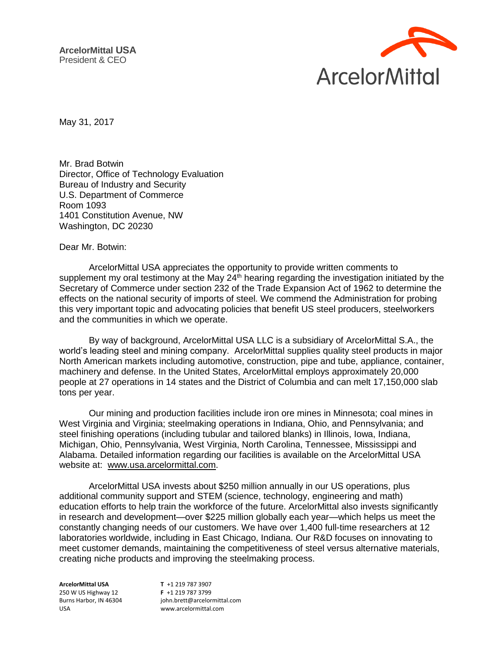

May 31, 2017

Mr. Brad Botwin Director, Office of Technology Evaluation Bureau of Industry and Security U.S. Department of Commerce Room 1093 1401 Constitution Avenue, NW Washington, DC 20230

Dear Mr. Botwin:

ArcelorMittal USA appreciates the opportunity to provide written comments to supplement my oral testimony at the May  $24<sup>th</sup>$  hearing regarding the investigation initiated by the Secretary of Commerce under section 232 of the Trade Expansion Act of 1962 to determine the effects on the national security of imports of steel. We commend the Administration for probing this very important topic and advocating policies that benefit US steel producers, steelworkers and the communities in which we operate.

By way of background, ArcelorMittal USA LLC is a subsidiary of ArcelorMittal S.A., the world's leading steel and mining company. ArcelorMittal supplies quality steel products in major North American markets including automotive, construction, pipe and tube, appliance, container, machinery and defense. In the United States, ArcelorMittal employs approximately 20,000 people at 27 operations in 14 states and the District of Columbia and can melt 17,150,000 slab tons per year.

Our mining and production facilities include iron ore mines in Minnesota; coal mines in West Virginia and Virginia; steelmaking operations in Indiana, Ohio, and Pennsylvania; and steel finishing operations (including tubular and tailored blanks) in Illinois, Iowa, Indiana, Michigan, Ohio, Pennsylvania, West Virginia, North Carolina, Tennessee, Mississippi and Alabama. Detailed information regarding our facilities is available on the ArcelorMittal USA website at: [www.usa.arcelormittal.com.](http://www.usa.arcelormittal.com/)

ArcelorMittal USA invests about \$250 million annually in our US operations, plus additional community support and STEM (science, technology, engineering and math) education efforts to help train the workforce of the future. ArcelorMittal also invests significantly in research and development—over \$225 million globally each year—which helps us meet the constantly changing needs of our customers. We have over 1,400 full-time researchers at 12 laboratories worldwide, including in East Chicago, Indiana. Our R&D focuses on innovating to meet customer demands, maintaining the competitiveness of steel versus alternative materials, creating niche products and improving the steelmaking process.

**ArcelorMittal USA** 250 W US Highway 12 Burns Harbor, IN 46304 USA

**T** +1 219 787 3907 **F** +1 219 787 3799 john.brett@arcelormittal.com www.arcelormittal.com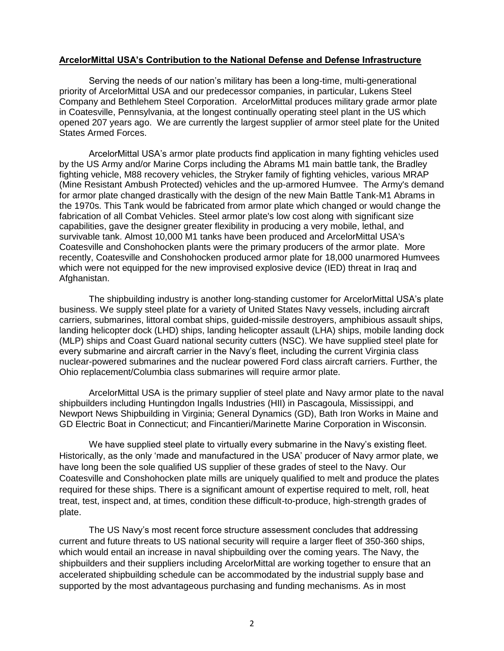## **ArcelorMittal USA's Contribution to the National Defense and Defense Infrastructure**

Serving the needs of our nation's military has been a long-time, multi-generational priority of ArcelorMittal USA and our predecessor companies, in particular, Lukens Steel Company and Bethlehem Steel Corporation. ArcelorMittal produces military grade armor plate in Coatesville, Pennsylvania, at the longest continually operating steel plant in the US which opened 207 years ago. We are currently the largest supplier of armor steel plate for the United States Armed Forces.

ArcelorMittal USA's armor plate products find application in many fighting vehicles used by the US Army and/or Marine Corps including the Abrams M1 main battle tank, the Bradley fighting vehicle, M88 recovery vehicles, the Stryker family of fighting vehicles, various MRAP (Mine Resistant Ambush Protected) vehicles and the up-armored Humvee. The Army's demand for armor plate changed drastically with the design of the new Main Battle Tank-M1 Abrams in the 1970s. This Tank would be fabricated from armor plate which changed or would change the fabrication of all Combat Vehicles. Steel armor plate's low cost along with significant size capabilities, gave the designer greater flexibility in producing a very mobile, lethal, and survivable tank. Almost 10,000 M1 tanks have been produced and ArcelorMittal USA's Coatesville and Conshohocken plants were the primary producers of the armor plate. More recently, Coatesville and Conshohocken produced armor plate for 18,000 unarmored Humvees which were not equipped for the new improvised explosive device (IED) threat in Iraq and Afghanistan.

The shipbuilding industry is another long-standing customer for ArcelorMittal USA's plate business. We supply steel plate for a variety of United States Navy vessels, including aircraft carriers, submarines, littoral combat ships, guided-missile destroyers, amphibious assault ships, landing helicopter dock (LHD) ships, landing helicopter assault (LHA) ships, mobile landing dock (MLP) ships and Coast Guard national security cutters (NSC). We have supplied steel plate for every submarine and aircraft carrier in the Navy's fleet, including the current Virginia class nuclear-powered submarines and the nuclear powered Ford class aircraft carriers. Further, the Ohio replacement/Columbia class submarines will require armor plate.

ArcelorMittal USA is the primary supplier of steel plate and Navy armor plate to the naval shipbuilders including Huntingdon Ingalls Industries (HII) in Pascagoula, Mississippi, and Newport News Shipbuilding in Virginia; General Dynamics (GD), Bath Iron Works in Maine and GD Electric Boat in Connecticut; and Fincantieri/Marinette Marine Corporation in Wisconsin.

We have supplied steel plate to virtually every submarine in the Navy's existing fleet. Historically, as the only 'made and manufactured in the USA' producer of Navy armor plate, we have long been the sole qualified US supplier of these grades of steel to the Navy. Our Coatesville and Conshohocken plate mills are uniquely qualified to melt and produce the plates required for these ships. There is a significant amount of expertise required to melt, roll, heat treat, test, inspect and, at times, condition these difficult-to-produce, high-strength grades of plate.

The US Navy's most recent force structure assessment concludes that addressing current and future threats to US national security will require a larger fleet of 350-360 ships, which would entail an increase in naval shipbuilding over the coming years. The Navy, the shipbuilders and their suppliers including ArcelorMittal are working together to ensure that an accelerated shipbuilding schedule can be accommodated by the industrial supply base and supported by the most advantageous purchasing and funding mechanisms. As in most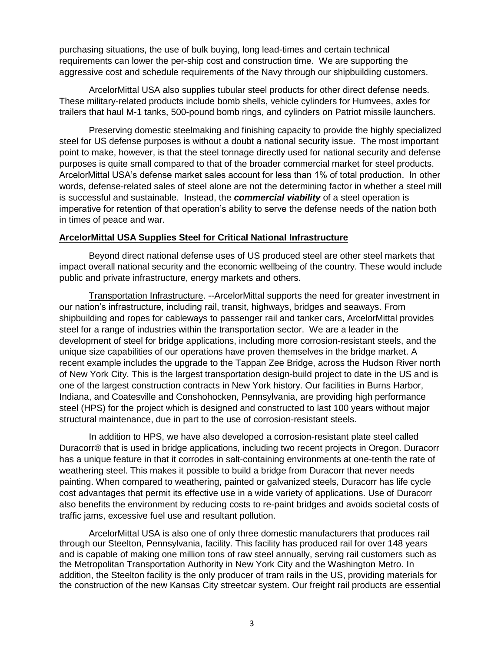purchasing situations, the use of bulk buying, long lead-times and certain technical requirements can lower the per-ship cost and construction time. We are supporting the aggressive cost and schedule requirements of the Navy through our shipbuilding customers.

ArcelorMittal USA also supplies tubular steel products for other direct defense needs. These military-related products include bomb shells, vehicle cylinders for Humvees, axles for trailers that haul M-1 tanks, 500-pound bomb rings, and cylinders on Patriot missile launchers.

Preserving domestic steelmaking and finishing capacity to provide the highly specialized steel for US defense purposes is without a doubt a national security issue. The most important point to make, however, is that the steel tonnage directly used for national security and defense purposes is quite small compared to that of the broader commercial market for steel products. ArcelorMittal USA's defense market sales account for less than 1% of total production. In other words, defense-related sales of steel alone are not the determining factor in whether a steel mill is successful and sustainable. Instead, the *commercial viability* of a steel operation is imperative for retention of that operation's ability to serve the defense needs of the nation both in times of peace and war.

## **ArcelorMittal USA Supplies Steel for Critical National Infrastructure**

Beyond direct national defense uses of US produced steel are other steel markets that impact overall national security and the economic wellbeing of the country. These would include public and private infrastructure, energy markets and others.

Transportation Infrastructure. --ArcelorMittal supports the need for greater investment in our nation's infrastructure, including rail, transit, highways, bridges and seaways. From shipbuilding and ropes for cableways to passenger rail and tanker cars, ArcelorMittal provides steel for a range of industries within the transportation sector. We are a leader in the development of steel for bridge applications, including more corrosion-resistant steels, and the unique size capabilities of our operations have proven themselves in the bridge market. A recent example includes the upgrade to the Tappan Zee Bridge, across the Hudson River north of New York City. This is the largest transportation design-build project to date in the US and is one of the largest construction contracts in New York history. Our facilities in Burns Harbor, Indiana, and Coatesville and Conshohocken, Pennsylvania, are providing high performance steel (HPS) for the project which is designed and constructed to last 100 years without major structural maintenance, due in part to the use of corrosion-resistant steels.

In addition to HPS, we have also developed a corrosion-resistant plate steel called Duracorr® that is used in bridge applications, including two recent projects in Oregon. Duracorr has a unique feature in that it corrodes in salt-containing environments at one-tenth the rate of weathering steel. This makes it possible to build a bridge from Duracorr that never needs painting. When compared to weathering, painted or galvanized steels, Duracorr has life cycle cost advantages that permit its effective use in a wide variety of applications. Use of Duracorr also benefits the environment by reducing costs to re-paint bridges and avoids societal costs of traffic jams, excessive fuel use and resultant pollution.

ArcelorMittal USA is also one of only three domestic manufacturers that produces rail through our Steelton, Pennsylvania, facility. This facility has produced rail for over 148 years and is capable of making one million tons of raw steel annually, serving rail customers such as the Metropolitan Transportation Authority in New York City and the Washington Metro. In addition, the Steelton facility is the only producer of tram rails in the US, providing materials for the construction of the new Kansas City streetcar system. Our freight rail products are essential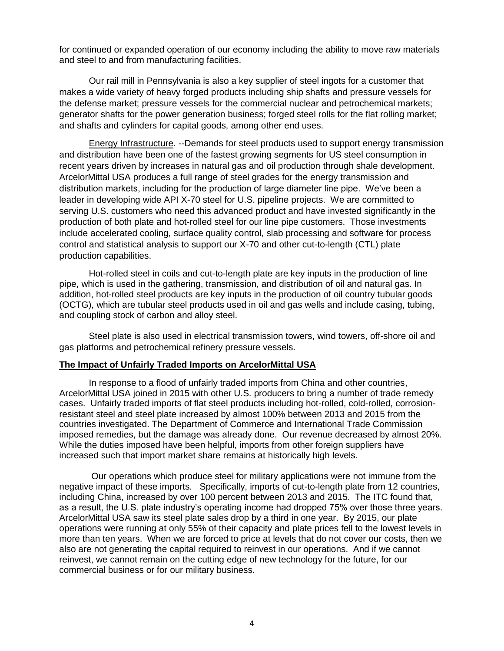for continued or expanded operation of our economy including the ability to move raw materials and steel to and from manufacturing facilities.

Our rail mill in Pennsylvania is also a key supplier of steel ingots for a customer that makes a wide variety of heavy forged products including ship shafts and pressure vessels for the defense market; pressure vessels for the commercial nuclear and petrochemical markets; generator shafts for the power generation business; forged steel rolls for the flat rolling market; and shafts and cylinders for capital goods, among other end uses.

Energy Infrastructure. --Demands for steel products used to support energy transmission and distribution have been one of the fastest growing segments for US steel consumption in recent years driven by increases in natural gas and oil production through shale development. ArcelorMittal USA produces a full range of steel grades for the energy transmission and distribution markets, including for the production of large diameter line pipe. We've been a leader in developing wide API X-70 steel for U.S. pipeline projects. We are committed to serving U.S. customers who need this advanced product and have invested significantly in the production of both plate and hot-rolled steel for our line pipe customers. Those investments include accelerated cooling, surface quality control, slab processing and software for process control and statistical analysis to support our X-70 and other cut-to-length (CTL) plate production capabilities.

Hot-rolled steel in coils and cut-to-length plate are key inputs in the production of line pipe, which is used in the gathering, transmission, and distribution of oil and natural gas. In addition, hot-rolled steel products are key inputs in the production of oil country tubular goods (OCTG), which are tubular steel products used in oil and gas wells and include casing, tubing, and coupling stock of carbon and alloy steel.

Steel plate is also used in electrical transmission towers, wind towers, off-shore oil and gas platforms and petrochemical refinery pressure vessels.

## **The Impact of Unfairly Traded Imports on ArcelorMittal USA**

In response to a flood of unfairly traded imports from China and other countries, ArcelorMittal USA joined in 2015 with other U.S. producers to bring a number of trade remedy cases. Unfairly traded imports of flat steel products including hot-rolled, cold-rolled, corrosionresistant steel and steel plate increased by almost 100% between 2013 and 2015 from the countries investigated. The Department of Commerce and International Trade Commission imposed remedies, but the damage was already done. Our revenue decreased by almost 20%. While the duties imposed have been helpful, imports from other foreign suppliers have increased such that import market share remains at historically high levels.

Our operations which produce steel for military applications were not immune from the negative impact of these imports. Specifically, imports of cut-to-length plate from 12 countries, including China, increased by over 100 percent between 2013 and 2015. The ITC found that, as a result, the U.S. plate industry's operating income had dropped 75% over those three years. ArcelorMittal USA saw its steel plate sales drop by a third in one year. By 2015, our plate operations were running at only 55% of their capacity and plate prices fell to the lowest levels in more than ten years. When we are forced to price at levels that do not cover our costs, then we also are not generating the capital required to reinvest in our operations. And if we cannot reinvest, we cannot remain on the cutting edge of new technology for the future, for our commercial business or for our military business.